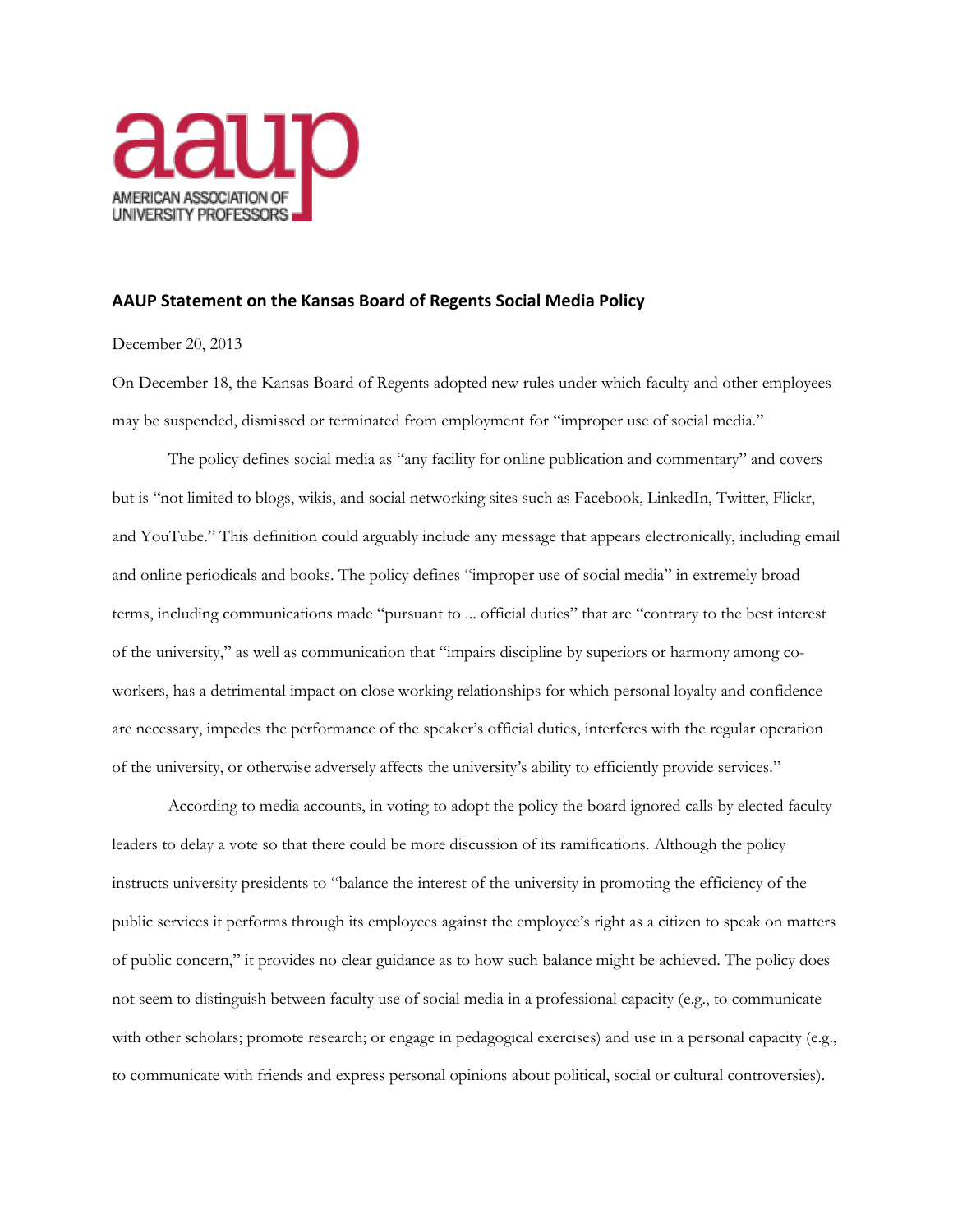

## **AAUP Statement on the Kansas Board of Regents Social Media Policy**

## December 20, 2013

On December 18, the Kansas Board of Regents adopted new rules under which faculty and other employees may be suspended, dismissed or terminated from employment for "improper use of social media."

The policy defines social media as "any facility for online publication and commentary" and covers but is "not limited to blogs, wikis, and social networking sites such as Facebook, LinkedIn, Twitter, Flickr, and YouTube." This definition could arguably include any message that appears electronically, including email and online periodicals and books. The policy defines "improper use of social media" in extremely broad terms, including communications made "pursuant to ... official duties" that are "contrary to the best interest of the university," as well as communication that "impairs discipline by superiors or harmony among coworkers, has a detrimental impact on close working relationships for which personal loyalty and confidence are necessary, impedes the performance of the speaker's official duties, interferes with the regular operation of the university, or otherwise adversely affects the university's ability to efficiently provide services."

According to media accounts, in voting to adopt the policy the board ignored calls by elected faculty leaders to delay a vote so that there could be more discussion of its ramifications. Although the policy instructs university presidents to "balance the interest of the university in promoting the efficiency of the public services it performs through its employees against the employee's right as a citizen to speak on matters of public concern," it provides no clear guidance as to how such balance might be achieved. The policy does not seem to distinguish between faculty use of social media in a professional capacity (e.g., to communicate with other scholars; promote research; or engage in pedagogical exercises) and use in a personal capacity (e.g., to communicate with friends and express personal opinions about political, social or cultural controversies).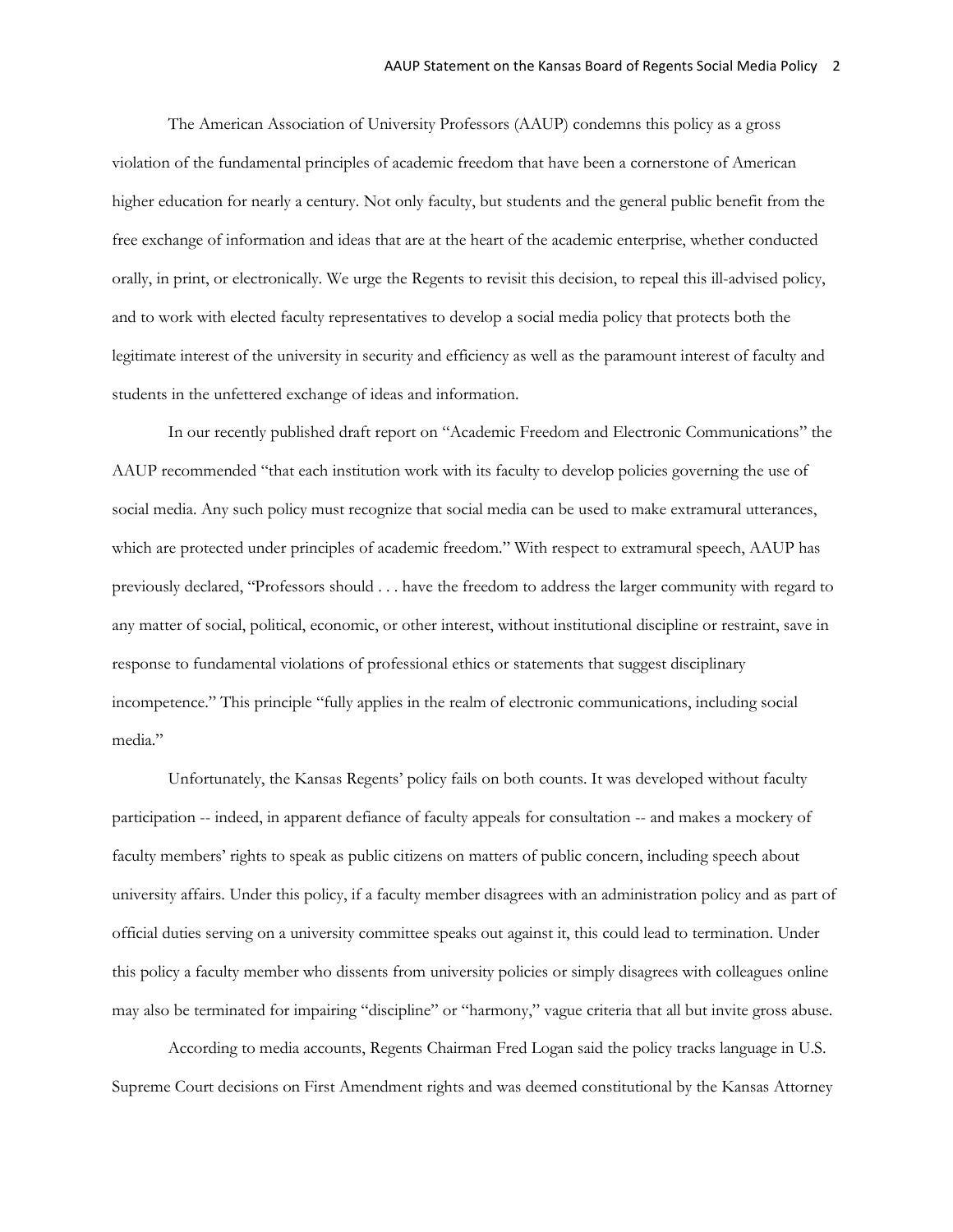The American Association of University Professors (AAUP) condemns this policy as a gross violation of the fundamental principles of academic freedom that have been a cornerstone of American higher education for nearly a century. Not only faculty, but students and the general public benefit from the free exchange of information and ideas that are at the heart of the academic enterprise, whether conducted orally, in print, or electronically. We urge the Regents to revisit this decision, to repeal this ill-advised policy, and to work with elected faculty representatives to develop a social media policy that protects both the legitimate interest of the university in security and efficiency as well as the paramount interest of faculty and students in the unfettered exchange of ideas and information.

In our recently published draft report on "Academic Freedom and Electronic Communications" the AAUP recommended "that each institution work with its faculty to develop policies governing the use of social media. Any such policy must recognize that social media can be used to make extramural utterances, which are protected under principles of academic freedom." With respect to extramural speech, AAUP has previously declared, "Professors should . . . have the freedom to address the larger community with regard to any matter of social, political, economic, or other interest, without institutional discipline or restraint, save in response to fundamental violations of professional ethics or statements that suggest disciplinary incompetence." This principle "fully applies in the realm of electronic communications, including social media."

Unfortunately, the Kansas Regents' policy fails on both counts. It was developed without faculty participation -- indeed, in apparent defiance of faculty appeals for consultation -- and makes a mockery of faculty members' rights to speak as public citizens on matters of public concern, including speech about university affairs. Under this policy, if a faculty member disagrees with an administration policy and as part of official duties serving on a university committee speaks out against it, this could lead to termination. Under this policy a faculty member who dissents from university policies or simply disagrees with colleagues online may also be terminated for impairing "discipline" or "harmony," vague criteria that all but invite gross abuse.

According to media accounts, Regents Chairman Fred Logan said the policy tracks language in U.S. Supreme Court decisions on First Amendment rights and was deemed constitutional by the Kansas Attorney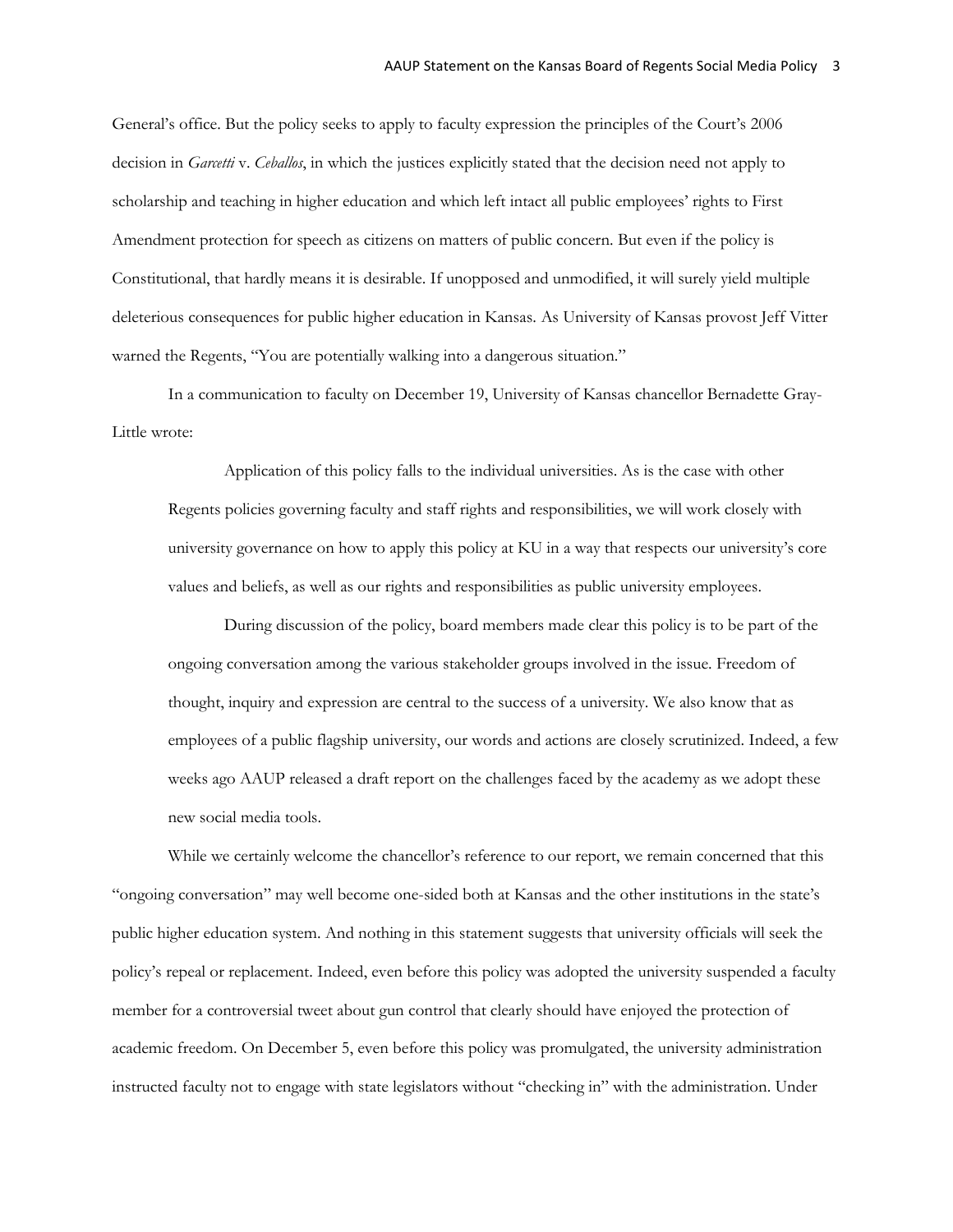General's office. But the policy seeks to apply to faculty expression the principles of the Court's 2006 decision in *Garcetti* v. *Ceballos*, in which the justices explicitly stated that the decision need not apply to scholarship and teaching in higher education and which left intact all public employees' rights to First Amendment protection for speech as citizens on matters of public concern. But even if the policy is Constitutional, that hardly means it is desirable. If unopposed and unmodified, it will surely yield multiple deleterious consequences for public higher education in Kansas. As University of Kansas provost Jeff Vitter warned the Regents, "You are potentially walking into a dangerous situation."

In a communication to faculty on December 19, University of Kansas chancellor Bernadette Gray-Little wrote:

Application of this policy falls to the individual universities. As is the case with other Regents policies governing faculty and staff rights and responsibilities, we will work closely with university governance on how to apply this policy at KU in a way that respects our university's core values and beliefs, as well as our rights and responsibilities as public university employees.

During discussion of the policy, board members made clear this policy is to be part of the ongoing conversation among the various stakeholder groups involved in the issue. Freedom of thought, inquiry and expression are central to the success of a university. We also know that as employees of a public flagship university, our words and actions are closely scrutinized. Indeed, a few weeks ago AAUP released a draft report on the challenges faced by the academy as we adopt these new social media tools.

While we certainly welcome the chancellor's reference to our report, we remain concerned that this "ongoing conversation" may well become one-sided both at Kansas and the other institutions in the state's public higher education system. And nothing in this statement suggests that university officials will seek the policy's repeal or replacement. Indeed, even before this policy was adopted the university suspended a faculty member for a controversial tweet about gun control that clearly should have enjoyed the protection of academic freedom. On December 5, even before this policy was promulgated, the university administration instructed faculty not to engage with state legislators without "checking in" with the administration. Under